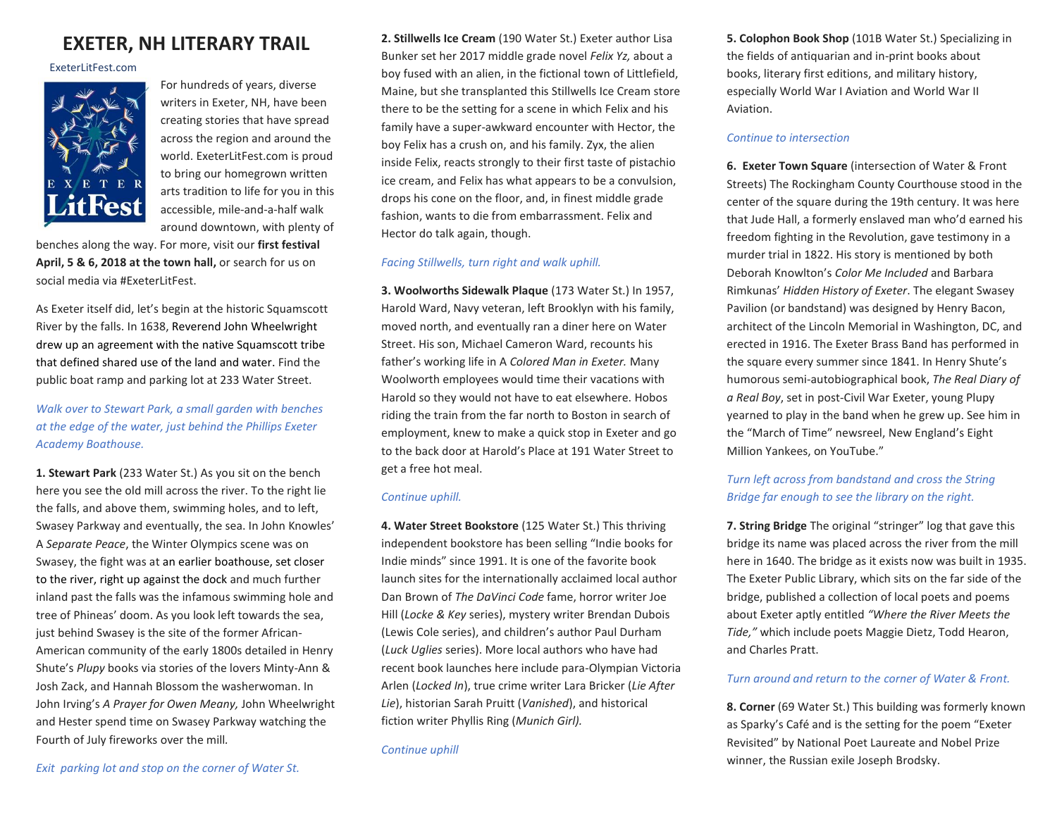# **EXETER, NH LITERARY TRAIL**

ExeterLitFest.com



For hundreds of years, diverse writers in Exeter, NH, have been creating stories that have spread across the region and around the world. ExeterLitFest.com is proud to bring our homegrown written arts tradition to life for you in this accessible, mile-and-a-half walk around downtown, with plenty of

benches along the way. For more, visit our **first festival April, 5 & 6, 2018 at the town hall,** or search for us on social media via #ExeterLitFest.

As Exeter itself did, let's begin at the historic Squamscott River by the falls. In 1638, Reverend John Wheelwright drew up an agreement with the native Squamscott tribe that defined shared use of the land and water. Find the public boat ramp and parking lot at 233 Water Street.

# *Walk over to Stewart Park, a small garden with benches at the edge of the water, just behind the Phillips Exeter Academy Boathouse.*

**1. Stewart Park** (233 Water St.) As you sit on the bench here you see the old mill across the river. To the right lie the falls, and above them, swimming holes, and to left, Swasey Parkway and eventually, the sea. In John Knowles' A *Separate Peace*, the Winter Olympics scene was on Swasey, the fight was at an earlier boathouse, set closer to the river, right up against the dock and much further inland past the falls was the infamous swimming hole and tree of Phineas' doom. As you look left towards the sea, just behind Swasey is the site of the former African-American community of the early 1800s detailed in Henry Shute's *Plupy* books via stories of the lovers Minty-Ann & Josh Zack, and Hannah Blossom the washerwoman. In John Irving's *A Prayer for Owen Meany,* John Wheelwright and Hester spend time on Swasey Parkway watching the Fourth of July fireworks over the mill*.* 

**2. Stillwells Ice Cream** (190 Water St.) Exeter author Lisa Bunker set her 2017 middle grade novel *Felix Yz,* about a boy fused with an alien, in the fictional town of Littlefield, Maine, but she transplanted this Stillwells Ice Cream store there to be the setting for a scene in which Felix and his family have a super-awkward encounter with Hector, the boy Felix has a crush on, and his family. Zyx, the alien inside Felix, reacts strongly to their first taste of pistachio ice cream, and Felix has what appears to be a convulsion, drops his cone on the floor, and, in finest middle grade fashion, wants to die from embarrassment. Felix and Hector do talk again, though.

### *Facing Stillwells, turn right and walk uphill.*

**3. Woolworths Sidewalk Plaque** (173 Water St.) In 1957, Harold Ward, Navy veteran, left Brooklyn with his family, moved north, and eventually ran a diner here on Water Street. His son, Michael Cameron Ward, recounts his father's working life in A *Colored Man in Exeter.* Many Woolworth employees would time their vacations with Harold so they would not have to eat elsewhere. Hobos riding the train from the far north to Boston in search of employment, knew to make a quick stop in Exeter and go to the back door at Harold's Place at 191 Water Street to get a free hot meal.

### *Continue uphill.*

**4. Water Street Bookstore** (125 Water St.) This thriving independent bookstore has been selling "Indie books for Indie minds" since 1991. It is one of the favorite book launch sites for the internationally acclaimed local author Dan Brown of *The DaVinci Code* fame, horror writer Joe Hill (*Locke & Key* series), mystery writer Brendan Dubois (Lewis Cole series), and children's author Paul Durham (*Luck Uglies* series). More local authors who have had recent book launches here include para-Olympian Victoria Arlen (*Locked In*), true crime writer Lara Bricker (*Lie After Lie*), historian Sarah Pruitt (*Vanished*), and historical fiction writer Phyllis Ring (*Munich Girl).*

**5. Colophon Book Shop** (101B Water St.) Specializing in the fields of antiquarian and in-print books about books, literary first editions, and military history, especially World War I Aviation and World War II Aviation.

## *Continue to intersection*

**6. Exeter Town Square** (intersection of Water & Front Streets) The Rockingham County Courthouse stood in the center of the square during the 19th century. It was here that Jude Hall, a formerly enslaved man who'd earned his freedom fighting in the Revolution, gave testimony in a murder trial in 1822. His story is mentioned by both Deborah Knowlton's *Color Me Included* and Barbara Rimkunas' *Hidden History of Exeter*. The elegant Swasey Pavilion (or bandstand) was designed by Henry Bacon, architect of the Lincoln Memorial in Washington, DC, and erected in 1916. The Exeter Brass Band has performed in the square every summer since 1841. In Henry Shute's humorous semi-autobiographical book, *The Real Diary of a Real Boy*, set in post-Civil War Exeter, young Plupy yearned to play in the band when he grew up. See him in the "March of Time" newsreel, New England's Eight Million Yankees, on YouTube."

# *Turn left across from bandstand and cross the String Bridge far enough to see the library on the right.*

**7. String Bridge** The original "stringer" log that gave this bridge its name was placed across the river from the mill here in 1640. The bridge as it exists now was built in 1935. The Exeter Public Library, which sits on the far side of the bridge, published a collection of local poets and poems about Exeter aptly entitled *"Where the River Meets the Tide,"* which include poets Maggie Dietz, Todd Hearon, and Charles Pratt.

# *Turn around and return to the corner of Water & Front.*

**8. Corner** (69 Water St.) This building was formerly known as Sparky's Café and is the setting for the poem "Exeter Revisited" by National Poet Laureate and Nobel Prize winner, the Russian exile Joseph Brodsky.